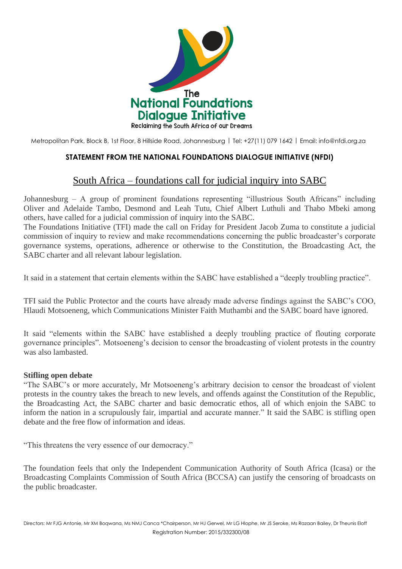

Metropolitan Park, Block B, 1st Floor, 8 Hillside Road, Johannesburg | Tel: +27(11) 079 1642 | Email: [info@nfdi.org.za](mailto:info@nfdi.org.za)

## **STATEMENT FROM THE NATIONAL FOUNDATIONS DIALOGUE INITIATIVE (NFDI)**

## South Africa – [foundations](https://africajournalismtheworld.com/2016/07/09/south-africa-foundations-call-for-judicial-inquiry-into-sabc/) call for judicial inquiry into SABC

Johannesburg – A group of prominent foundations representing "illustrious South Africans" including Oliver and Adelaide Tambo, Desmond and Leah Tutu, Chief Albert Luthuli and Thabo Mbeki among others, have called for a judicial commission of inquiry into the SABC.

The Foundations Initiative (TFI) made the call on Friday for President Jacob Zuma to constitute a judicial commission of inquiry to review and make recommendations concerning the public broadcaster's corporate governance systems, operations, adherence or otherwise to the Constitution, the Broadcasting Act, the SABC charter and all relevant labour legislation.

It said in a statement that certain elements within the SABC have established a "deeply troubling practice".

TFI said the Public Protector and the courts have already made adverse findings against the SABC's COO, Hlaudi Motsoeneng, which Communications Minister Faith Muthambi and the SABC board have ignored.

It said "elements within the SABC have established a deeply troubling practice of flouting corporate governance principles". Motsoeneng's decision to censor the broadcasting of violent protests in the country was also lambasted.

## **Stifling open debate**

"The SABC's or more accurately, Mr Motsoeneng's arbitrary decision to censor the broadcast of violent protests in the country takes the breach to new levels, and offends against the Constitution of the Republic, the Broadcasting Act, the SABC charter and basic democratic ethos, all of which enjoin the SABC to inform the nation in a scrupulously fair, impartial and accurate manner." It said the SABC is stifling open debate and the free flow of information and ideas.

"This threatens the very essence of our democracy."

The foundation feels that only the Independent Communication Authority of South Africa (Icasa) or the Broadcasting Complaints Commission of South Africa (BCCSA) can justify the censoring of broadcasts on the public broadcaster.